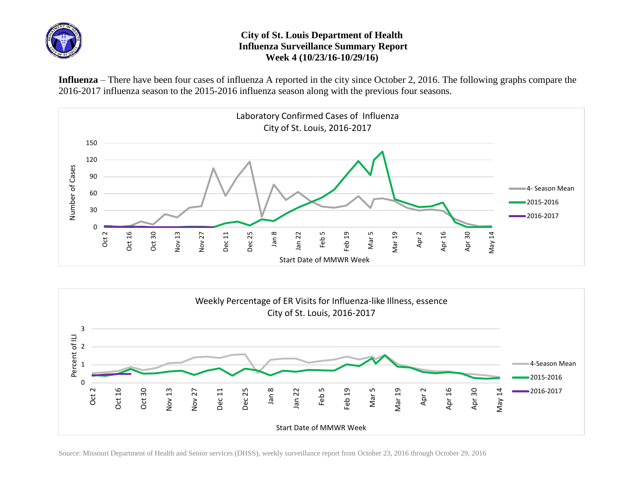

## **City of St. Louis Department of Health Influenza Surveillance Summary Report Week 4 (10/23/16-10/29/16)**

**Influenza** – There have been four cases of influenza A reported in the city since October 2, 2016. The following graphs compare the 2016-2017 influenza season to the 2015-2016 influenza season along with the previous four seasons.





Source: Missouri Department of Health and Senior services (DHSS), weekly surveillance report from October 23, 2016 through October 29, 2016